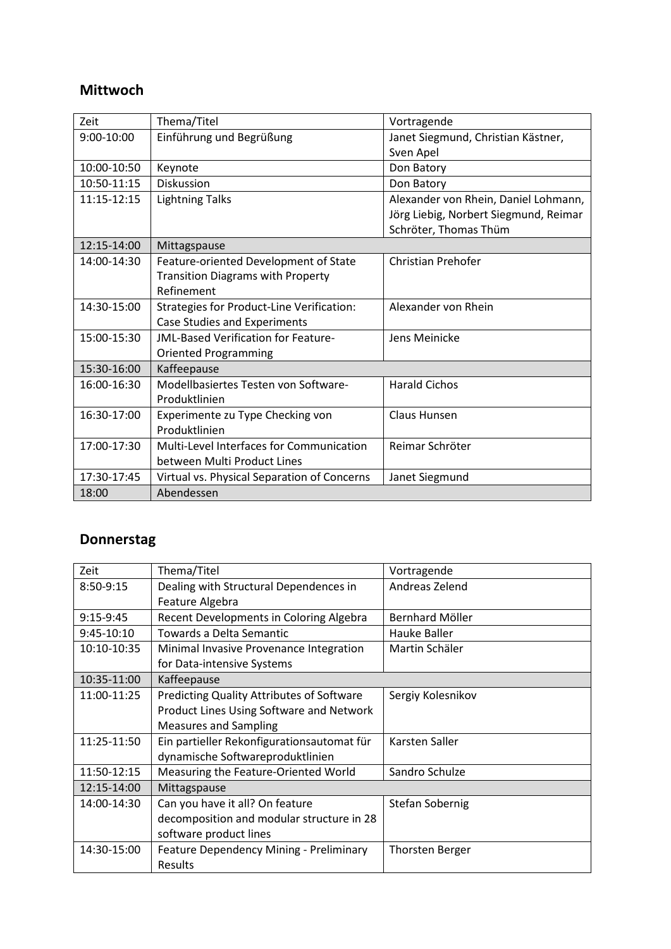## **Mittwoch**

| Zeit        | Thema/Titel                                 | Vortragende                           |
|-------------|---------------------------------------------|---------------------------------------|
| 9:00-10:00  | Einführung und Begrüßung                    | Janet Siegmund, Christian Kästner,    |
|             |                                             | Sven Apel                             |
| 10:00-10:50 | Keynote                                     | Don Batory                            |
| 10:50-11:15 | <b>Diskussion</b>                           | Don Batory                            |
| 11:15-12:15 | <b>Lightning Talks</b>                      | Alexander von Rhein, Daniel Lohmann,  |
|             |                                             | Jörg Liebig, Norbert Siegmund, Reimar |
|             |                                             | Schröter, Thomas Thüm                 |
| 12:15-14:00 | Mittagspause                                |                                       |
| 14:00-14:30 | Feature-oriented Development of State       | <b>Christian Prehofer</b>             |
|             | <b>Transition Diagrams with Property</b>    |                                       |
|             | Refinement                                  |                                       |
| 14:30-15:00 | Strategies for Product-Line Verification:   | Alexander von Rhein                   |
|             | <b>Case Studies and Experiments</b>         |                                       |
| 15:00-15:30 | <b>JML-Based Verification for Feature-</b>  | Jens Meinicke                         |
|             | <b>Oriented Programming</b>                 |                                       |
| 15:30-16:00 | Kaffeepause                                 |                                       |
| 16:00-16:30 | Modellbasiertes Testen von Software-        | <b>Harald Cichos</b>                  |
|             | Produktlinien                               |                                       |
| 16:30-17:00 | Experimente zu Type Checking von            | Claus Hunsen                          |
|             | Produktlinien                               |                                       |
| 17:00-17:30 | Multi-Level Interfaces for Communication    | Reimar Schröter                       |
|             | between Multi Product Lines                 |                                       |
| 17:30-17:45 | Virtual vs. Physical Separation of Concerns | Janet Siegmund                        |
| 18:00       | Abendessen                                  |                                       |

## **Donnerstag**

| Zeit        | Thema/Titel                                      | Vortragende            |
|-------------|--------------------------------------------------|------------------------|
| 8:50-9:15   | Dealing with Structural Dependences in           | Andreas Zelend         |
|             | Feature Algebra                                  |                        |
| 9:15-9:45   | Recent Developments in Coloring Algebra          | Bernhard Möller        |
| 9:45-10:10  | Towards a Delta Semantic                         | Hauke Baller           |
| 10:10-10:35 | Minimal Invasive Provenance Integration          | Martin Schäler         |
|             | for Data-intensive Systems                       |                        |
| 10:35-11:00 | Kaffeepause                                      |                        |
| 11:00-11:25 | <b>Predicting Quality Attributes of Software</b> | Sergiy Kolesnikov      |
|             | Product Lines Using Software and Network         |                        |
|             | <b>Measures and Sampling</b>                     |                        |
| 11:25-11:50 | Ein partieller Rekonfigurationsautomat für       | Karsten Saller         |
|             | dynamische Softwareproduktlinien                 |                        |
| 11:50-12:15 | Measuring the Feature-Oriented World             | Sandro Schulze         |
| 12:15-14:00 | Mittagspause                                     |                        |
| 14:00-14:30 | Can you have it all? On feature                  | Stefan Sobernig        |
|             | decomposition and modular structure in 28        |                        |
|             | software product lines                           |                        |
| 14:30-15:00 | Feature Dependency Mining - Preliminary          | <b>Thorsten Berger</b> |
|             | Results                                          |                        |